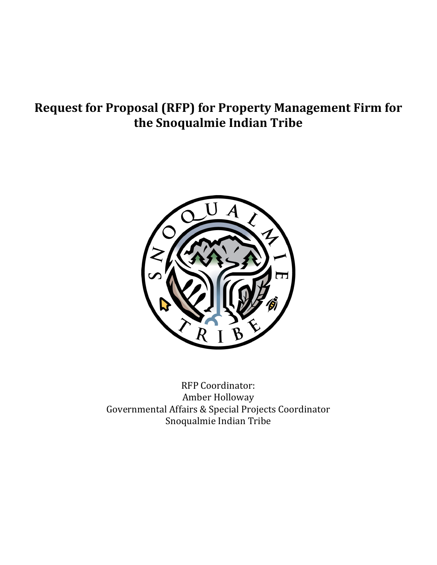# **Request for Proposal (RFP) for Property Management Firm for the Snoqualmie Indian Tribe**



RFP Coordinator: Amber Holloway Governmental Affairs & Special Projects Coordinator Snoqualmie Indian Tribe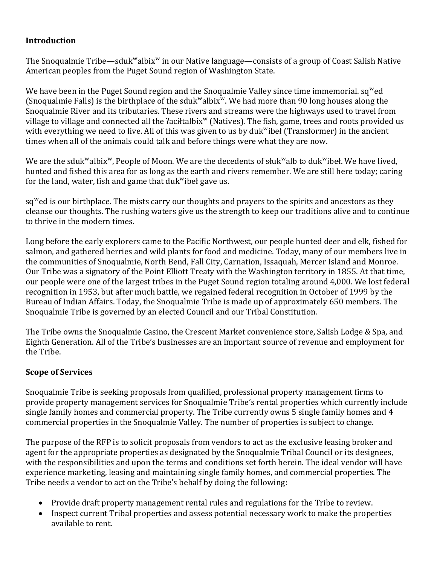### **Introduction**

The Snoqualmie Tribe—sduk<sup>w</sup>albix<sup>w</sup> in our Native language—consists of a group of Coast Salish Native American peoples from the Puget Sound region of Washington State.

We have been in the Puget Sound region and the Snoqualmie Valley since time immemorial.  $sq^{w}$ ed (Snoqualmie Falls) is the birthplace of the sdukʷalbixʷ. We had more than 90 long houses along the Snoqualmie River and its tributaries. These rivers and streams were the highways used to travel from village to village and connected all the ?aciłtalbix<sup>w</sup> (Natives). The fish, game, trees and roots provided us with everything we need to live. All of this was given to us by duk<sup>w</sup>ibeł (Transformer) in the ancient times when all of the animals could talk and before things were what they are now.

We are the sduk<sup>w</sup>albix<sup>w</sup>, People of Moon. We are the decedents of słuk<sup>w</sup>alb ta duk<sup>w</sup>ibeł. We have lived, hunted and fished this area for as long as the earth and rivers remember. We are still here today; caring for the land, water, fish and game that duk "ibel gave us.

sq<sup>w</sup>ed is our birthplace. The mists carry our thoughts and prayers to the spirits and ancestors as they cleanse our thoughts. The rushing waters give us the strength to keep our traditions alive and to continue to thrive in the modern times.

Long before the early explorers came to the Pacific Northwest, our people hunted deer and elk, fished for salmon, and gathered berries and wild plants for food and medicine. Today, many of our members live in the communities of Snoqualmie, North Bend, Fall City, Carnation, Issaquah, Mercer Island and Monroe. Our Tribe was a signatory of the Point Elliott Treaty with the Washington territory in 1855. At that time, our people were one of the largest tribes in the Puget Sound region totaling around 4,000. We lost federal recognition in 1953, but after much battle, we regained federal recognition in October of 1999 by the Bureau of Indian Affairs. Today, the Snoqualmie Tribe is made up of approximately 650 members. The Snoqualmie Tribe is governed by an elected Council and our Tribal Constitution.

The Tribe owns the Snoqualmie Casino, the Crescent Market convenience store, Salish Lodge & Spa, and Eighth Generation. All of the Tribe's businesses are an important source of revenue and employment for the Tribe.

### **Scope of Services**

Snoqualmie Tribe is seeking proposals from qualified, professional property management firms to provide property management services for Snoqualmie Tribe's rental properties which currently include single family homes and commercial property. The Tribe currently owns 5 single family homes and 4 commercial properties in the Snoqualmie Valley. The number of properties is subject to change.

The purpose of the RFP is to solicit proposals from vendors to act as the exclusive leasing broker and agent for the appropriate properties as designated by the Snoqualmie Tribal Council or its designees, with the responsibilities and upon the terms and conditions set forth herein. The ideal vendor will have experience marketing, leasing and maintaining single family homes, and commercial properties. The Tribe needs a vendor to act on the Tribe's behalf by doing the following:

- Provide draft property management rental rules and regulations for the Tribe to review.
- Inspect current Tribal properties and assess potential necessary work to make the properties available to rent.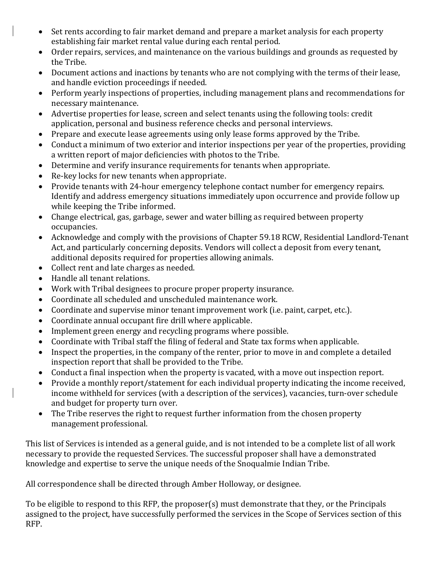- Set rents according to fair market demand and prepare a market analysis for each property establishing fair market rental value during each rental period.
- Order repairs, services, and maintenance on the various buildings and grounds as requested by the Tribe.
- Document actions and inactions by tenants who are not complying with the terms of their lease, and handle eviction proceedings if needed.
- Perform yearly inspections of properties, including management plans and recommendations for necessary maintenance.
- Advertise properties for lease, screen and select tenants using the following tools: credit application, personal and business reference checks and personal interviews.
- Prepare and execute lease agreements using only lease forms approved by the Tribe.
- Conduct a minimum of two exterior and interior inspections per year of the properties, providing a written report of major deficiencies with photos to the Tribe.
- Determine and verify insurance requirements for tenants when appropriate.
- Re-key locks for new tenants when appropriate.
- Provide tenants with 24-hour emergency telephone contact number for emergency repairs. Identify and address emergency situations immediately upon occurrence and provide follow up while keeping the Tribe informed.
- Change electrical, gas, garbage, sewer and water billing as required between property occupancies.
- Acknowledge and comply with the provisions of Chapter 59.18 RCW, Residential Landlord-Tenant Act, and particularly concerning deposits. Vendors will collect a deposit from every tenant, additional deposits required for properties allowing animals.
- Collect rent and late charges as needed.
- Handle all tenant relations.
- Work with Tribal designees to procure proper property insurance.
- Coordinate all scheduled and unscheduled maintenance work.
- Coordinate and supervise minor tenant improvement work (i.e. paint, carpet, etc.).
- Coordinate annual occupant fire drill where applicable.
- Implement green energy and recycling programs where possible.
- Coordinate with Tribal staff the filing of federal and State tax forms when applicable.
- Inspect the properties, in the company of the renter, prior to move in and complete a detailed inspection report that shall be provided to the Tribe.
- Conduct a final inspection when the property is vacated, with a move out inspection report.
- Provide a monthly report/statement for each individual property indicating the income received, income withheld for services (with a description of the services), vacancies, turn-over schedule and budget for property turn over.
- The Tribe reserves the right to request further information from the chosen property management professional.

This list of Services is intended as a general guide, and is not intended to be a complete list of all work necessary to provide the requested Services. The successful proposer shall have a demonstrated knowledge and expertise to serve the unique needs of the Snoqualmie Indian Tribe.

All correspondence shall be directed through Amber Holloway, or designee.

To be eligible to respond to this RFP, the proposer(s) must demonstrate that they, or the Principals assigned to the project, have successfully performed the services in the Scope of Services section of this RFP.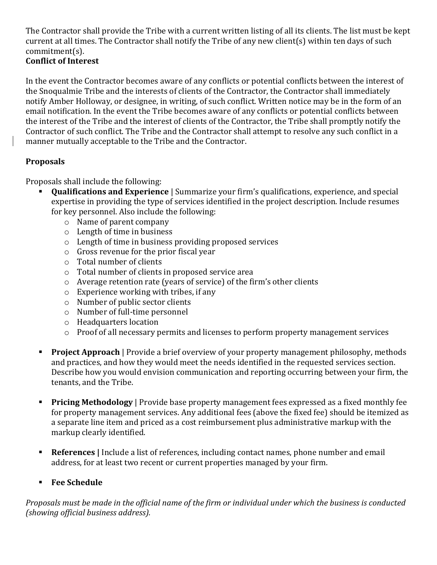The Contractor shall provide the Tribe with a current written listing of all its clients. The list must be kept current at all times. The Contractor shall notify the Tribe of any new client(s) within ten days of such commitment(s).

# **Conflict of Interest**

In the event the Contractor becomes aware of any conflicts or potential conflicts between the interest of the Snoqualmie Tribe and the interests of clients of the Contractor, the Contractor shall immediately notify Amber Holloway, or designee, in writing, of such conflict. Written notice may be in the form of an email notification. In the event the Tribe becomes aware of any conflicts or potential conflicts between the interest of the Tribe and the interest of clients of the Contractor, the Tribe shall promptly notify the Contractor of such conflict. The Tribe and the Contractor shall attempt to resolve any such conflict in a manner mutually acceptable to the Tribe and the Contractor.

# **Proposals**

Proposals shall include the following:

- **Qualifications and Experience** | Summarize your firm's qualifications, experience, and special expertise in providing the type of services identified in the project description. Include resumes for key personnel. Also include the following:
	- o Name of parent company
	- o Length of time in business
	- o Length of time in business providing proposed services
	- o Gross revenue for the prior fiscal year
	- o Total number of clients
	- o Total number of clients in proposed service area
	- o Average retention rate (years of service) of the firm's other clients
	- o Experience working with tribes, if any
	- o Number of public sector clients
	- o Number of full-time personnel
	- o Headquarters location
	- o Proof of all necessary permits and licenses to perform property management services
- **Project Approach** | Provide a brief overview of your property management philosophy, methods and practices, and how they would meet the needs identified in the requested services section. Describe how you would envision communication and reporting occurring between your firm, the tenants, and the Tribe.
- **Pricing Methodology** | Provide base property management fees expressed as a fixed monthly fee for property management services. Any additional fees (above the fixed fee) should be itemized as a separate line item and priced as a cost reimbursement plus administrative markup with the markup clearly identified.
- **References |** Include a list of references, including contact names, phone number and email address, for at least two recent or current properties managed by your firm.

# **Fee Schedule**

*Proposals must be made in the official name of the firm or individual under which the business is conducted (showing official business address).*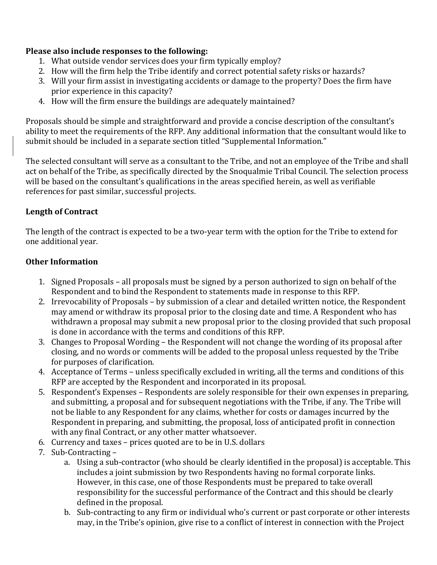# **Please also include responses to the following:**

- 1. What outside vendor services does your firm typically employ?
- 2. How will the firm help the Tribe identify and correct potential safety risks or hazards?
- 3. Will your firm assist in investigating accidents or damage to the property? Does the firm have prior experience in this capacity?
- 4. How will the firm ensure the buildings are adequately maintained?

Proposals should be simple and straightforward and provide a concise description of the consultant's ability to meet the requirements of the RFP. Any additional information that the consultant would like to submit should be included in a separate section titled "Supplemental Information."

The selected consultant will serve as a consultant to the Tribe, and not an employee of the Tribe and shall act on behalf of the Tribe, as specifically directed by the Snoqualmie Tribal Council. The selection process will be based on the consultant's qualifications in the areas specified herein, as well as verifiable references for past similar, successful projects.

# **Length of Contract**

The length of the contract is expected to be a two-year term with the option for the Tribe to extend for one additional year.

# **Other Information**

- 1. Signed Proposals all proposals must be signed by a person authorized to sign on behalf of the Respondent and to bind the Respondent to statements made in response to this RFP.
- 2. Irrevocability of Proposals by submission of a clear and detailed written notice, the Respondent may amend or withdraw its proposal prior to the closing date and time. A Respondent who has withdrawn a proposal may submit a new proposal prior to the closing provided that such proposal is done in accordance with the terms and conditions of this RFP.
- 3. Changes to Proposal Wording the Respondent will not change the wording of its proposal after closing, and no words or comments will be added to the proposal unless requested by the Tribe for purposes of clarification.
- 4. Acceptance of Terms unless specifically excluded in writing, all the terms and conditions of this RFP are accepted by the Respondent and incorporated in its proposal.
- 5. Respondent's Expenses Respondents are solely responsible for their own expenses in preparing, and submitting, a proposal and for subsequent negotiations with the Tribe, if any. The Tribe will not be liable to any Respondent for any claims, whether for costs or damages incurred by the Respondent in preparing, and submitting, the proposal, loss of anticipated profit in connection with any final Contract, or any other matter whatsoever.
- 6. Currency and taxes prices quoted are to be in U.S. dollars
- 7. Sub-Contracting
	- a. Using a sub-contractor (who should be clearly identified in the proposal) is acceptable. This includes a joint submission by two Respondents having no formal corporate links. However, in this case, one of those Respondents must be prepared to take overall responsibility for the successful performance of the Contract and this should be clearly defined in the proposal.
	- b. Sub-contracting to any firm or individual who's current or past corporate or other interests may, in the Tribe's opinion, give rise to a conflict of interest in connection with the Project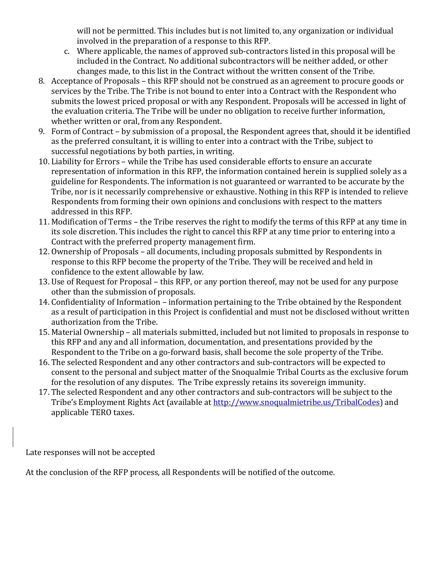will not be permitted. This includes but is not limited to, any organization or individual involved in the preparation of a response to this RFP.

- c. Where applicable, the names of approved sub-contractors listed in this proposal will be included in the Contract. No additional subcontractors will be neither added, or other changes made, to this list in the Contract without the written consent of the Tribe.
- 8. Acceptance of Proposals this RFP should not be construed as an agreement to procure goods or services by the Tribe. The Tribe is not bound to enter into a Contract with the Respondent who submits the lowest priced proposal or with any Respondent. Proposals will be accessed in light of the evaluation criteria. The Tribe will be under no obligation to receive further information, whether written or oral, from any Respondent.
- 9. Form of Contract by submission of a proposal, the Respondent agrees that, should it be identified as the preferred consultant, it is willing to enter into a contract with the Tribe, subject to successful negotiations by both parties, in writing.
- 10. Liability for Errors while the Tribe has used considerable efforts to ensure an accurate representation of information in this RFP, the information contained herein is supplied solely as a guideline for Respondents. The information is not guaranteed or warranted to be accurate by the Tribe, nor is it necessarily comprehensive or exhaustive. Nothing in this RFP is intended to relieve Respondents from forming their own opinions and conclusions with respect to the matters addressed in this RFP.
- 11. Modification of Terms the Tribe reserves the right to modify the terms of this RFP at any time in its sole discretion. This includes the right to cancel this RFP at any time prior to entering into a Contract with the preferred property management firm.
- 12. Ownership of Proposals all documents, including proposals submitted by Respondents in response to this RFP become the property of the Tribe. They will be received and held in confidence to the extent allowable by law.
- 13. Use of Request for Proposal this RFP, or any portion thereof, may not be used for any purpose other than the submission of proposals.
- 14. Confidentiality of Information information pertaining to the Tribe obtained by the Respondent as a result of participation in this Project is confidential and must not be disclosed without written authorization from the Tribe.
- 15. Material Ownership all materials submitted, included but not limited to proposals in response to this RFP and any and all information, documentation, and presentations provided by the Respondent to the Tribe on a go-forward basis, shall become the sole property of the Tribe.
- 16. The selected Respondent and any other contractors and sub-contractors will be expected to consent to the personal and subject matter of the Snoqualmie Tribal Courts as the exclusive forum for the resolution of any disputes. The Tribe expressly retains its sovereign immunity.
- 17. The selected Respondent and any other contractors and sub-contractors will be subject to the Tribe's Employment Rights Act (available at<http://www.snoqualmietribe.us/TribalCodes>) and applicable TERO taxes.

Late responses will not be accepted

At the conclusion of the RFP process, all Respondents will be notified of the outcome.